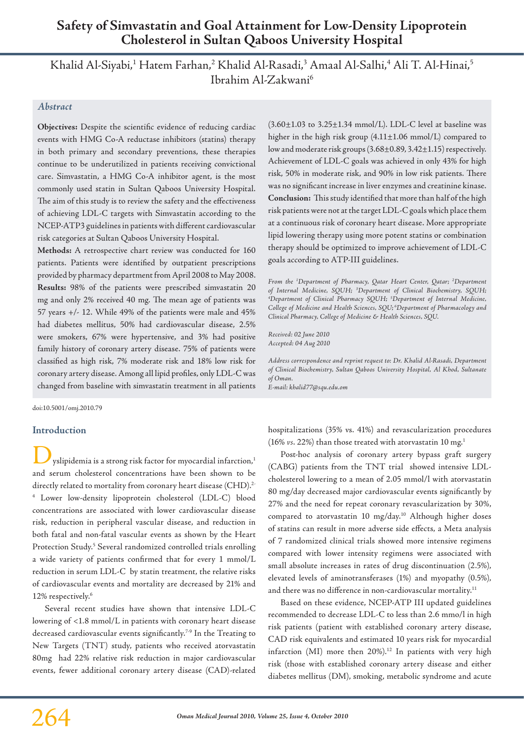# **Safety of Simvastatin and Goal Attainment for Low-Density Lipoprotein Cholesterol in Sultan Qaboos University Hospital**

Khalid Al-Siyabi,<sup>1</sup> Hatem Farhan,<sup>2</sup> Khalid Al-Rasadi,<sup>3</sup> Amaal Al-Salhi,<sup>4</sup> Ali T. Al-Hinai,<sup>5</sup> Ibrahim Al-Zakwani6

# *Abstract*

**Objectives:** Despite the scientific evidence of reducing cardiac events with HMG Co-A reductase inhibitors (statins) therapy in both primary and secondary preventions, these therapies continue to be underutilized in patients receiving convictional care. Simvastatin, a HMG Co-A inhibitor agent, is the most commonly used statin in Sultan Qaboos University Hospital. The aim of this study is to review the safety and the effectiveness of achieving LDL-C targets with Simvastatin according to the NCEP-ATP3 guidelines in patients with different cardiovascular risk categories at Sultan Qaboos University Hospital.

**Methods:** A retrospective chart review was conducted for 160 patients. Patients were identified by outpatient prescriptions provided by pharmacy department from April 2008 to May 2008. **Results:** 98% of the patients were prescribed simvastatin 20 mg and only 2% received 40 mg. The mean age of patients was 57 years +/- 12. While 49% of the patients were male and 45% had diabetes mellitus, 50% had cardiovascular disease, 2.5% were smokers, 67% were hypertensive, and 3% had positive family history of coronary artery disease. 75% of patients were classified as high risk, 7% moderate risk and 18% low risk for coronary artery disease. Among all lipid profiles, only LDL-C was changed from baseline with simvastatin treatment in all patients

doi:10.5001/omj.2010.79

### **Introduction**

yslipidemia is a strong risk factor for myocardial infarction,<sup>1</sup> and serum cholesterol concentrations have been shown to be directly related to mortality from coronary heart disease (CHD).<sup>2-</sup> 4 Lower low-density lipoprotein cholesterol (LDL-C) blood concentrations are associated with lower cardiovascular disease risk, reduction in peripheral vascular disease, and reduction in both fatal and non-fatal vascular events as shown by the Heart Protection Study.<sup>5</sup> Several randomized controlled trials enrolling a wide variety of patients confirmed that for every 1 mmol/L reduction in serum LDL-C by statin treatment, the relative risks of cardiovascular events and mortality are decreased by 21% and 12% respectively.<sup>6</sup>

Several recent studies have shown that intensive LDL-C lowering of <1.8 mmol/L in patients with coronary heart disease decreased cardiovascular events significantly.<sup>7-9</sup> In the Treating to New Targets (TNT) study, patients who received atorvastatin 80mg had 22% relative risk reduction in major cardiovascular events, fewer additional coronary artery disease (CAD)-related

 $(3.60\pm1.03$  to  $3.25\pm1.34$  mmol/L). LDL-C level at baseline was higher in the high risk group (4.11±1.06 mmol/L) compared to low and moderate risk groups (3.68±0.89, 3.42±1.15) respectively. Achievement of LDL-C goals was achieved in only 43% for high risk, 50% in moderate risk, and 90% in low risk patients. There was no significant increase in liver enzymes and creatinine kinase. **Conclusion:** This study identified that more than half of the high risk patients were not at the target LDL-C goals which place them at a continuous risk of coronary heart disease. More appropriate lipid lowering therapy using more potent statins or combination therapy should be optimized to improve achievement of LDL-C goals according to ATP-III guidelines.

*From the 1 Department of Pharmacy, Qatar Heart Center, Qatar; 2 Department of Internal Medicine, SQUH; 3 Department of Clinical Biochemistry, SQUH; 4 Department of Clinical Pharmacy SQUH; 5 Department of Internal Medicine, College of Medicine and Health Sciences, SQU; 6Department of Pharmacology and Clinical Pharmacy, College of Medicine & Health Sciences, SQU.*

*Received: 02 June 2010 Accepted: 04 Aug 2010*

*Address correspondence and reprint request to: Dr. Khalid Al-Rasadi, Department of Clinical Biochemistry, Sultan Qaboos University Hospital, Al Khod, Sultanate of Oman. E-mail: khalid77@squ.edu.om*

hospitalizations (35% vs. 41%) and revascularization procedures (16% *vs*. 22%) than those treated with atorvastatin 10 mg.1

Post-hoc analysis of coronary artery bypass graft surgery (CABG) patients from the TNT trial showed intensive LDLcholesterol lowering to a mean of 2.05 mmol/l with atorvastatin 80 mg/day decreased major cardiovascular events significantly by 27% and the need for repeat coronary revascularization by 30%, compared to atorvastatin 10 mg/day.10 Although higher doses of statins can result in more adverse side effects, a Meta analysis of 7 randomized clinical trials showed more intensive regimens compared with lower intensity regimens were associated with small absolute increases in rates of drug discontinuation (2.5%), elevated levels of aminotransferases (1%) and myopathy (0.5%), and there was no difference in non-cardiovascular mortality.<sup>11</sup>

Based on these evidence, NCEP-ATP III updated guidelines recommended to decrease LDL-C to less than 2.6 mmo/l in high risk patients (patient with established coronary artery disease, CAD risk equivalents and estimated 10 years risk for myocardial infarction (MI) more then  $20\%$ ).<sup>12</sup> In patients with very high risk (those with established coronary artery disease and either diabetes mellitus (DM), smoking, metabolic syndrome and acute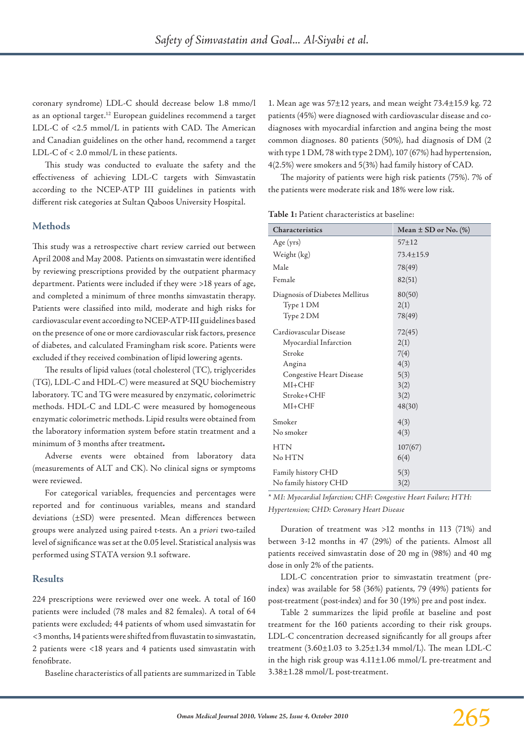Ī

coronary syndrome) LDL-C should decrease below 1.8 mmo/l as an optional target.12 European guidelines recommend a target LDL-C of <2.5 mmol/L in patients with CAD. The American and Canadian guidelines on the other hand, recommend a target LDL-C of < 2.0 mmol/L in these patients.

This study was conducted to evaluate the safety and the effectiveness of achieving LDL-C targets with Simvastatin according to the NCEP-ATP III guidelines in patients with different risk categories at Sultan Qaboos University Hospital.

### **Methods**

This study was a retrospective chart review carried out between April 2008 and May 2008. Patients on simvastatin were identified by reviewing prescriptions provided by the outpatient pharmacy department. Patients were included if they were >18 years of age, and completed a minimum of three months simvastatin therapy. Patients were classified into mild, moderate and high risks for cardiovascular event according to NCEP-ATP-III guidelines based on the presence of one or more cardiovascular risk factors, presence of diabetes, and calculated Framingham risk score. Patients were excluded if they received combination of lipid lowering agents.

The results of lipid values (total cholesterol (TC), triglycerides (TG), LDL-C and HDL-C) were measured at SQU biochemistry laboratory. TC and TG were measured by enzymatic, colorimetric methods. HDL-C and LDL-C were measured by homogeneous enzymatic colorimetric methods. Lipid results were obtained from the laboratory information system before statin treatment and a minimum of 3 months after treatment**.**

Adverse events were obtained from laboratory data (measurements of ALT and CK). No clinical signs or symptoms were reviewed.

For categorical variables, frequencies and percentages were reported and for continuous variables, means and standard deviations (±SD) were presented. Mean differences between groups were analyzed using paired t-tests. An a *priori* two-tailed level of significance was set at the 0.05 level. Statistical analysis was performed using STATA version 9.1 software.

### **Results**

224 prescriptions were reviewed over one week. A total of 160 patients were included (78 males and 82 females). A total of 64 patients were excluded; 44 patients of whom used simvastatin for <3 months, 14 patients were shifted from fluvastatin to simvastatin, 2 patients were <18 years and 4 patients used simvastatin with fenofibrate.

Baseline characteristics of all patients are summarized in Table

1. Mean age was 57±12 years, and mean weight 73.4±15.9 kg. 72 patients (45%) were diagnosed with cardiovascular disease and codiagnoses with myocardial infarction and angina being the most common diagnoses. 80 patients (50%), had diagnosis of DM (2 with type 1 DM, 78 with type 2 DM), 107 (67%) had hypertension, 4(2.5%) were smokers and 5(3%) had family history of CAD.

The majority of patients were high risk patients (75%). 7% of the patients were moderate risk and 18% were low risk.

| <b>Characteristics</b>         | Mean $\pm$ SD or No. (%) |  |  |
|--------------------------------|--------------------------|--|--|
| Age (yrs)                      | $57 + 12$                |  |  |
| Weight (kg)                    | $73.4 \pm 15.9$          |  |  |
| Male                           | 78(49)                   |  |  |
| Female                         | 82(51)                   |  |  |
| Diagnosis of Diabetes Mellitus | 80(50)                   |  |  |
| Type 1 DM                      | 2(1)                     |  |  |
| Type 2 DM                      | 78(49)                   |  |  |
| Cardiovascular Disease         | 72(45)                   |  |  |
| Myocardial Infarction          | 2(1)                     |  |  |
| Stroke                         | 7(4)                     |  |  |
| Angina                         | 4(3)                     |  |  |
| Congestive Heart Disease       | 5(3)                     |  |  |
| $MI + CHF$                     | 3(2)                     |  |  |
| Stroke+CHF                     | 3(2)                     |  |  |
| $MI + CHF$                     | 48(30)                   |  |  |
| Smoker                         | 4(3)                     |  |  |
| No smoker                      | 4(3)                     |  |  |
| <b>HTN</b>                     | 107(67)                  |  |  |
| No HTN                         | 6(4)                     |  |  |
| Family history CHD             | 5(3)                     |  |  |
| No family history CHD          | 3(2)                     |  |  |

*\* MI: Myocardial Infarction; CHF: Congestive Heart Failure; HTH: Hypertension; CHD: Coronary Heart Disease*

Duration of treatment was >12 months in 113 (71%) and between 3-12 months in 47 (29%) of the patients. Almost all patients received simvastatin dose of 20 mg in (98%) and 40 mg dose in only 2% of the patients.

LDL-C concentration prior to simvastatin treatment (preindex) was available for 58 (36%) patients, 79 (49%) patients for post-treatment (post-index) and for 30 (19%) pre and post index.

Table 2 summarizes the lipid profile at baseline and post treatment for the 160 patients according to their risk groups. LDL-C concentration decreased significantly for all groups after treatment  $(3.60 \pm 1.03 \text{ to } 3.25 \pm 1.34 \text{ mmol/L})$ . The mean LDL-C in the high risk group was 4.11±1.06 mmol/L pre-treatment and 3.38±1.28 mmol/L post-treatment.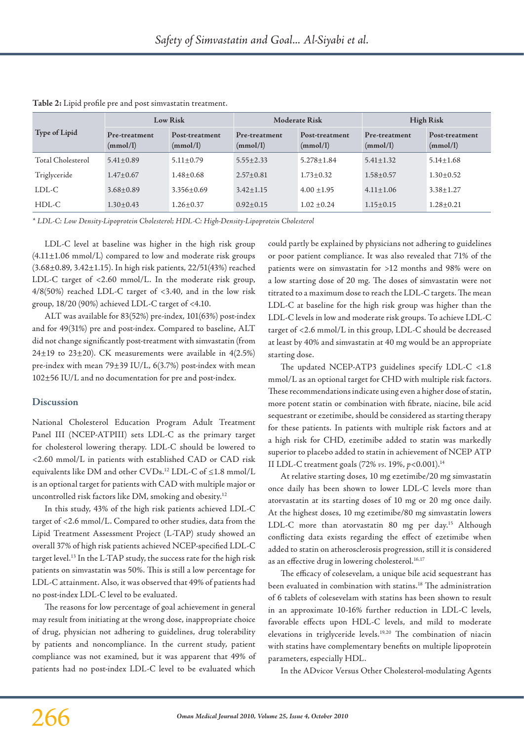| <b>Type of Lipid</b> | Low Risk                  |                            | <b>Moderate Risk</b>      |                            | <b>High Risk</b>          |                            |
|----------------------|---------------------------|----------------------------|---------------------------|----------------------------|---------------------------|----------------------------|
|                      | Pre-treatment<br>(mmol/l) | Post-treatment<br>(mmol/l) | Pre-treatment<br>(mmol/l) | Post-treatment<br>(mmol/l) | Pre-treatment<br>(mmol/l) | Post-treatment<br>(mmol/l) |
| Total Cholesterol    | $5.41 \pm 0.89$           | $5.11 \pm 0.79$            | $5.55 \pm 2.33$           | $5.278 \pm 1.84$           | $5.41 \pm 1.32$           | $5.14 \pm 1.68$            |
| Triglyceride         | $1.47 \pm 0.67$           | $1.48 \pm 0.68$            | $2.57 \pm 0.81$           | $1.73 \pm 0.32$            | $1.58 + 0.57$             | $1.30 \pm 0.52$            |
| LDL-C                | $3.68 \pm 0.89$           | $3.356 + 0.69$             | $3.42 \pm 1.15$           | $4.00 \pm 1.95$            | $4.11 \pm 1.06$           | $3.38 \pm 1.27$            |
| HDL-C                | $1.30 \pm 0.43$           | $1.26 \pm 0.37$            | $0.92 \pm 0.15$           | $1.02 \pm 0.24$            | $1.15 \pm 0.15$           | $1.28 \pm 0.21$            |

**Table 2:** Lipid profile pre and post simvastatin treatment.

*\* LDL-C: Low Density-Lipoprotein Cholesterol; HDL-C: High-Density-Lipoprotein Cholesterol*

LDL-C level at baseline was higher in the high risk group  $(4.11 \pm 1.06 \text{ mmol/L})$  compared to low and moderate risk groups (3.68±0.89, 3.42±1.15). In high risk patients, 22/51(43%) reached LDL-C target of <2.60 mmol/L. In the moderate risk group, 4/8(50%) reached LDL-C target of <3.40, and in the low risk group, 18/20 (90%) achieved LDL-C target of <4.10.

ALT was available for 83(52%) pre-index, 101(63%) post-index and for 49(31%) pre and post-index. Compared to baseline, ALT did not change significantly post-treatment with simvastatin (from 24 $\pm$ 19 to 23 $\pm$ 20). CK measurements were available in 4(2.5%) pre-index with mean 79±39 IU/L, 6(3.7%) post-index with mean 102±56 IU/L and no documentation for pre and post-index.

#### **Discussion**

National Cholesterol Education Program Adult Treatment Panel III (NCEP-ATPIII) sets LDL-C as the primary target for cholesterol lowering therapy. LDL-C should be lowered to <2.60 mmol/L in patients with established CAD or CAD risk equivalents like DM and other CVDs.12 LDL-C of ≤1.8 mmol/L is an optional target for patients with CAD with multiple major or uncontrolled risk factors like DM, smoking and obesity.12

In this study, 43% of the high risk patients achieved LDL-C target of <2.6 mmol/L. Compared to other studies, data from the Lipid Treatment Assessment Project (L-TAP) study showed an overall 37% of high risk patients achieved NCEP-specified LDL-C target level.13 In the L-TAP study, the success rate for the high risk patients on simvastatin was 50%. This is still a low percentage for LDL-C attainment. Also, it was observed that 49% of patients had no post-index LDL-C level to be evaluated.

The reasons for low percentage of goal achievement in general may result from initiating at the wrong dose, inappropriate choice of drug, physician not adhering to guidelines, drug tolerability by patients and noncompliance. In the current study, patient compliance was not examined, but it was apparent that 49% of patients had no post-index LDL-C level to be evaluated which could partly be explained by physicians not adhering to guidelines or poor patient compliance. It was also revealed that 71% of the patients were on simvastatin for >12 months and 98% were on a low starting dose of 20 mg. The doses of simvastatin were not titrated to a maximum dose to reach the LDL-C targets. The mean LDL-C at baseline for the high risk group was higher than the LDL-C levels in low and moderate risk groups. To achieve LDL-C target of <2.6 mmol/L in this group, LDL-C should be decreased at least by 40% and simvastatin at 40 mg would be an appropriate starting dose.

The updated NCEP-ATP3 guidelines specify LDL-C <1.8 mmol/L as an optional target for CHD with multiple risk factors. These recommendations indicate using even a higher dose of statin, more potent statin or combination with fibrate, niacine, bile acid sequestrant or ezetimibe, should be considered as starting therapy for these patients. In patients with multiple risk factors and at a high risk for CHD, ezetimibe added to statin was markedly superior to placebo added to statin in achievement of NCEP ATP II LDL-C treatment goals (72% *vs.* 19%, *p*<0.001).14

At relative starting doses, 10 mg ezetimibe/20 mg simvastatin once daily has been shown to lower LDL-C levels more than atorvastatin at its starting doses of 10 mg or 20 mg once daily. At the highest doses, 10 mg ezetimibe/80 mg simvastatin lowers LDL-C more than atorvastatin 80 mg per day.<sup>15</sup> Although conflicting data exists regarding the effect of ezetimibe when added to statin on atherosclerosis progression, still it is considered as an effective drug in lowering cholesterol.<sup>16,17</sup>

The efficacy of colesevelam, a unique bile acid sequestrant has been evaluated in combination with statins.18 The administration of 6 tablets of colesevelam with statins has been shown to result in an approximate 10-16% further reduction in LDL-C levels, favorable effects upon HDL-C levels, and mild to moderate elevations in triglyceride levels.19,20 The combination of niacin with statins have complementary benefits on multiple lipoprotein parameters, especially HDL.

In the ADvicor Versus Other Cholesterol-modulating Agents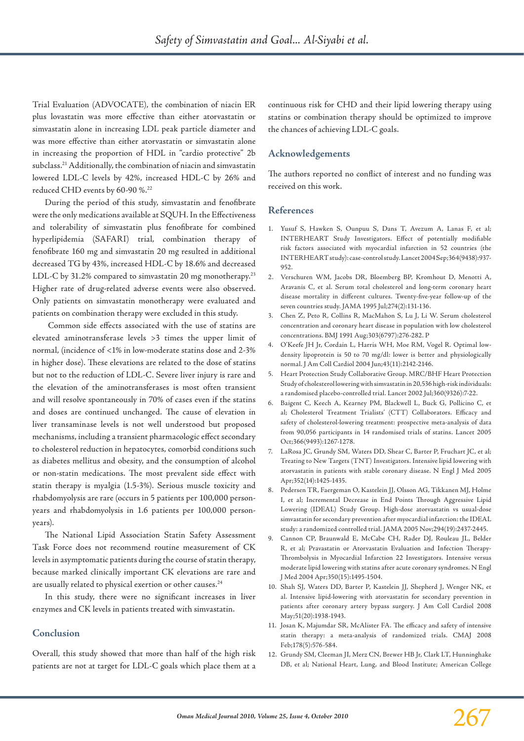Trial Evaluation (ADVOCATE), the combination of niacin ER plus lovastatin was more effective than either atorvastatin or simvastatin alone in increasing LDL peak particle diameter and was more effective than either atorvastatin or simvastatin alone in increasing the proportion of HDL in "cardio protective" 2b subclass.21 Additionally, the combination of niacin and simvastatin lowered LDL-C levels by 42%, increased HDL-C by 26% and reduced CHD events by 60-90 %.22

During the period of this study, simvastatin and fenofibrate were the only medications available at SQUH. In the Effectiveness and tolerability of simvastatin plus fenofibrate for combined hyperlipidemia (SAFARI) trial, combination therapy of fenofibrate 160 mg and simvastatin 20 mg resulted in additional decreased TG by 43%, increased HDL-C by 18.6% and decreased LDL-C by 31.2% compared to simvastatin 20 mg monotherapy.<sup>23</sup> Higher rate of drug-related adverse events were also observed. Only patients on simvastatin monotherapy were evaluated and patients on combination therapy were excluded in this study.

 Common side effects associated with the use of statins are elevated aminotransferase levels >3 times the upper limit of normal, (incidence of <1% in low-moderate statins dose and 2-3% in higher dose). These elevations are related to the dose of statins but not to the reduction of LDL-C. Severe liver injury is rare and the elevation of the aminotransferases is most often transient and will resolve spontaneously in 70% of cases even if the statins and doses are continued unchanged. The cause of elevation in liver transaminase levels is not well understood but proposed mechanisms, including a transient pharmacologic effect secondary to cholesterol reduction in hepatocytes, comorbid conditions such as diabetes mellitus and obesity, and the consumption of alcohol or non-statin medications. The most prevalent side effect with statin therapy is myalgia (1.5-3%). Serious muscle toxicity and rhabdomyolysis are rare (occurs in 5 patients per 100,000 personyears and rhabdomyolysis in 1.6 patients per 100,000 personyears).

The National Lipid Association Statin Safety Assessment Task Force does not recommend routine measurement of CK levels in asymptomatic patients during the course of statin therapy, because marked clinically important CK elevations are rare and are usually related to physical exertion or other causes.<sup>24</sup>

In this study, there were no significant increases in liver enzymes and CK levels in patients treated with simvastatin.

### **Conclusion**

Overall, this study showed that more than half of the high risk patients are not at target for LDL-C goals which place them at a continuous risk for CHD and their lipid lowering therapy using statins or combination therapy should be optimized to improve the chances of achieving LDL-C goals.

# **Acknowledgements**

The authors reported no conflict of interest and no funding was received on this work.

#### **References**

- 1. Yusuf S, Hawken S, Ounpuu S, Dans T, Avezum A, Lanas F, et al; INTERHEART Study Investigators. Effect of potentially modifiable risk factors associated with myocardial infarction in 52 countries (the INTERHEART study): case-control study. Lancet 2004 Sep;364(9438):937- 952.
- 2. Verschuren WM, Jacobs DR, Bloemberg BP, Kromhout D, Menotti A, Aravanis C, et al. Serum total cholesterol and long-term coronary heart disease mortality in different cultures. Twenty-five-year follow-up of the seven countries study. JAMA 1995 Jul;274(2):131-136.
- 3. Chen Z, Peto R, Collins R, MacMahon S, Lu J, Li W. Serum cholesterol concentration and coronary heart disease in population with low cholesterol concentrations. BMJ 1991 Aug;303(6797):276-282. P
- 4. O'Keefe JH Jr, Cordain L, Harris WH, Moe RM, Vogel R. Optimal lowdensity lipoprotein is 50 to 70 mg/dl: lower is better and physiologically normal. J Am Coll Cardiol 2004 Jun;43(11):2142-2146.
- 5. Heart Protection Study Collaborative Group. MRC/BHF Heart Protection Study of cholesterol lowering with simvastatin in 20,536 high-risk individuals: a randomised placebo-controlled trial. Lancet 2002 Jul;360(9326):7-22.
- 6. Baigent C, Keech A, Kearney PM, Blackwell L, Buck G, Pollicino C, et al; Cholesterol Treatment Trialists' (CTT) Collaborators. Efficacy and safety of cholesterol-lowering treatment: prospective meta-analysis of data from 90,056 participants in 14 randomised trials of statins. Lancet 2005 Oct;366(9493):1267-1278.
- 7. LaRosa JC, Grundy SM, Waters DD, Shear C, Barter P, Fruchart JC, et al; Treating to New Targets (TNT) Investigators. Intensive lipid lowering with atorvastatin in patients with stable coronary disease. N Engl J Med 2005 Apr;352(14):1425-1435.
- 8. Pedersen TR, Faergeman O, Kastelein JJ, Olsson AG, Tikkanen MJ, Holme I, et al; Incremental Decrease in End Points Through Aggressive Lipid Lowering (IDEAL) Study Group. High-dose atorvastatin vs usual-dose simvastatin for secondary prevention after myocardial infarction: the IDEAL study: a randomized controlled trial. JAMA 2005 Nov;294(19):2437-2445.
- 9. Cannon CP, Braunwald E, McCabe CH, Rader DJ, Rouleau JL, Belder R, et al; Pravastatin or Atorvastatin Evaluation and Infection Therapy-Thrombolysis in Myocardial Infarction 22 Investigators. Intensive versus moderate lipid lowering with statins after acute coronary syndromes. N Engl J Med 2004 Apr;350(15):1495-1504.
- 10. Shah SJ, Waters DD, Barter P, Kastelein JJ, Shepherd J, Wenger NK, et al. Intensive lipid-lowering with atorvastatin for secondary prevention in patients after coronary artery bypass surgery. J Am Coll Cardiol 2008 May;51(20):1938-1943.
- 11. Josan K, Majumdar SR, McAlister FA. The efficacy and safety of intensive statin therapy: a meta-analysis of randomized trials. CMAJ 2008 Feb;178(5):576-584.
- 12. Grundy SM, Cleeman JI, Merz CN, Brewer HB Jr, Clark LT, Hunninghake DB, et al; National Heart, Lung, and Blood Institute; American College